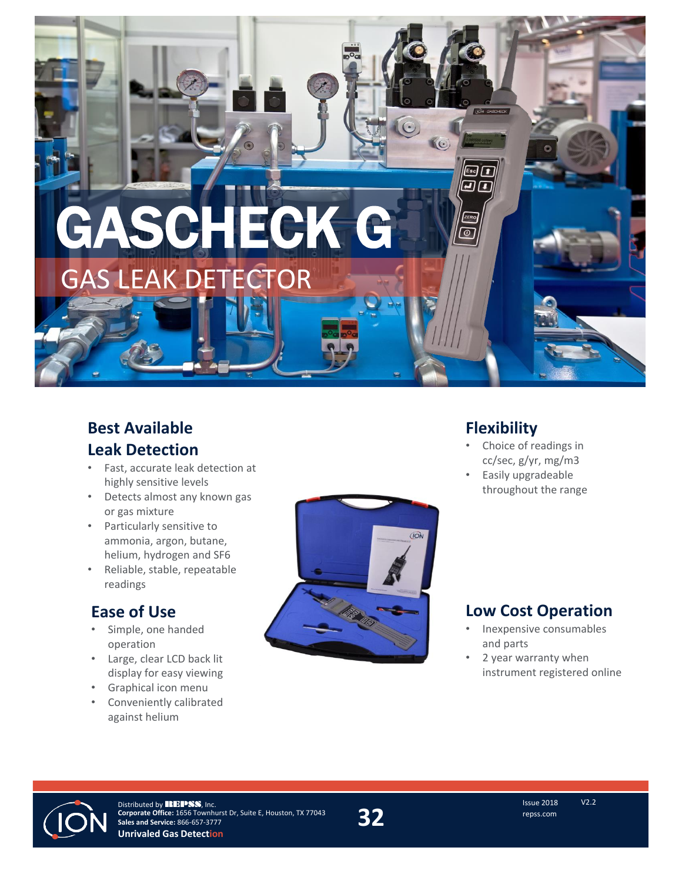

## **Best Available Leak Detection**

- Fast, accurate leak detection at highly sensitive levels
- Detects almost any known gas or gas mixture
- Particularly sensitive to ammonia, argon, butane, helium, hydrogen and SF6
- Reliable, stable, repeatable readings

## **Ease of Use**

- Simple, one handed operation
- Large, clear LCD back lit display for easy viewing
- Graphical icon menu
- Conveniently calibrated against helium



## **Flexibility**

- Choice of readings in cc/sec, g/yr, mg/m3
- Easily upgradeable throughout the range

## **Low Cost Operation**

- Inexpensive consumables and parts
- 2 year warranty when instrument registered online



\*-+\*-/ !!\$  $@EDE*2)#-./-v0$$  \*0./\*)vFF?CB **Unrivaled Gas Detection**

**32 1.** The CHEEDFRAFT ISSUE 2018 **' .! -1\$ GEEŠEDFŠBFFF**  $0.7^*$ ( **-.**  $-1\$   $\frac{1}{2}$   $\frac{1}{2}$   $+$   $\cdots$   $\frac{1}{2}$ **2 2 2 u- + . . u\*(**

V2.2<br>Issue 2018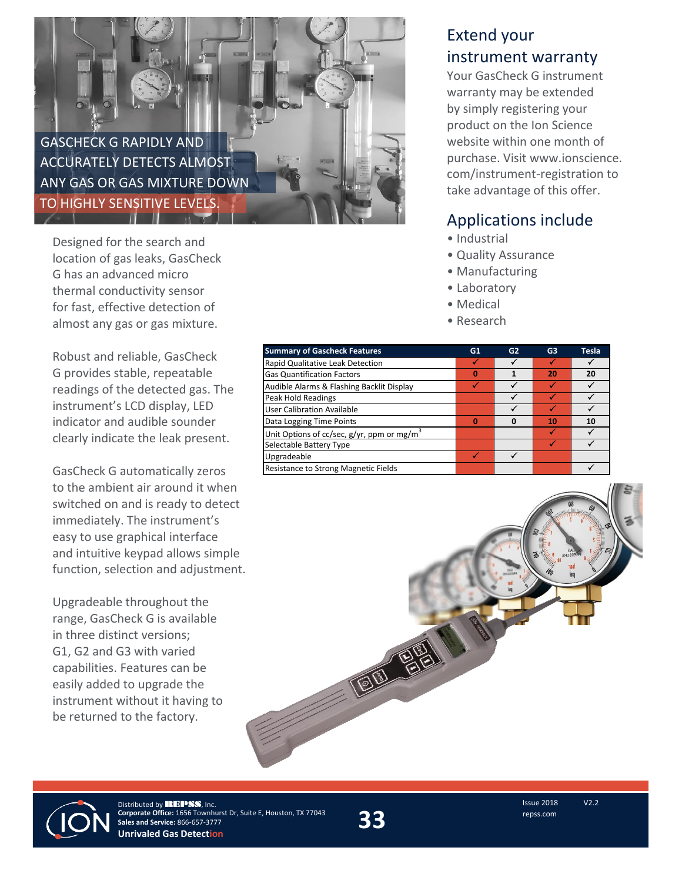

Designed for the search and location of gas leaks, GasCheck G has an advanced micro thermal conductivity sensor for fast, effective detection of almost any gas or gas mixture.

Robust and reliable, GasCheck G provides stable, repeatable readings of the detected gas. The instrument's LCD display, LED indicator and audible sounder clearly indicate the leak present.

GasCheck G automatically zeros to the ambient air around it when switched on and is ready to detect immediately. The instrument's easy to use graphical interface and intuitive keypad allows simple function, selection and adjustment.

Upgradeable throughout the range, GasCheck G is available in three distinct versions; G1, G2 and G3 with varied capabilities. Features can be easily added to upgrade the instrument without it having to be returned to the factory.

## Extend your instrument warranty

Your GasCheck G instrument warranty may be extended by simply registering your product on the Ion Science website within one month of purchase. Visit www.ionscience. com/instrument-registration to take advantage of this offer.

## Applications include

- Industrial
- Quality Assurance
- Manufacturing
- Laboratory
- Medical
- Research

| <b>Summary of Gascheck Features</b>                       | G1 | G2 | G <sub>3</sub> | <b>Tesla</b> |
|-----------------------------------------------------------|----|----|----------------|--------------|
| Rapid Qualitative Leak Detection                          |    |    |                |              |
| <b>Gas Quantification Factors</b>                         | Π  |    | 20             | 20           |
| Audible Alarms & Flashing Backlit Display                 |    |    |                |              |
| <b>Peak Hold Readings</b>                                 |    |    |                |              |
| <b>User Calibration Available</b>                         |    |    |                |              |
| Data Logging Time Points                                  | Λ  | n  | 10             | 10           |
| Unit Options of cc/sec, $g/yr$ , ppm or mg/m <sup>3</sup> |    |    |                |              |
| Selectable Battery Type                                   |    |    |                |              |
| Upgradeable                                               |    |    |                |              |
| Resistance to Strong Magnetic Fields                      |    |    |                |              |

190 Br



**REPSS Corporate Office** 1656 Townhurst Dr, Suite E Houston, TX 77043 **Unrivaled Gas Detection**

**33** Issue 2018<br>Customerservice@repss.com<br>WWW.repss.com<br>WWW.repss.com **Sales & Service**  866-657-3777 customerservice@repss.com www.repss.com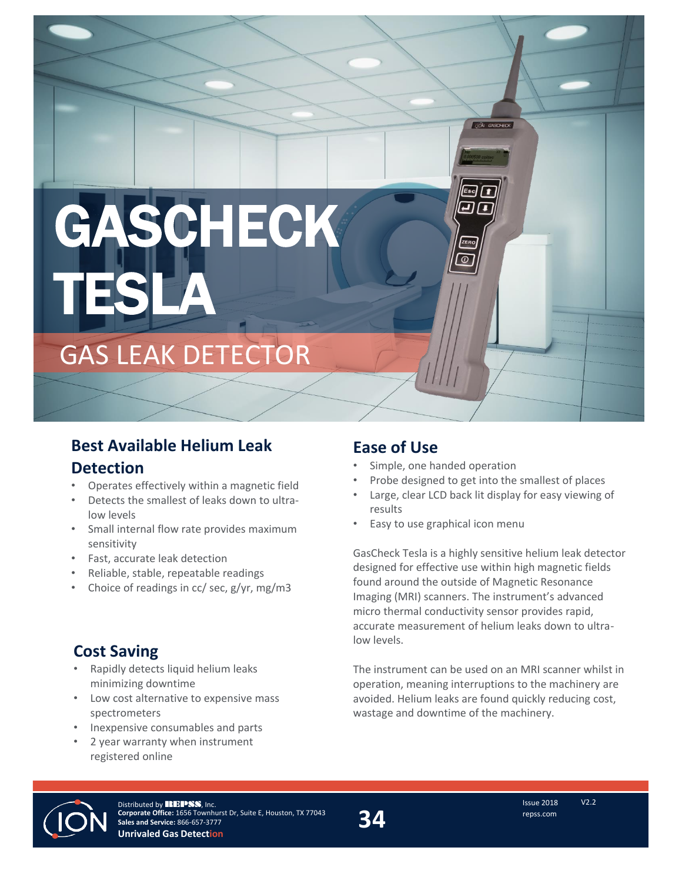# SCHECK TESLA

GAS LEAK DETECTOR

# **Best Available Helium Leak Detection**

- Operates effectively within a magnetic field
- Detects the smallest of leaks down to ultralow levels
- Small internal flow rate provides maximum sensitivity
- Fast, accurate leak detection
- Reliable, stable, repeatable readings
- Choice of readings in cc/ sec, g/yr, mg/m3

## **Cost Saving**

- Rapidly detects liquid helium leaks minimizing downtime
- Low cost alternative to expensive mass spectrometers
- Inexpensive consumables and parts
- 2 year warranty when instrument registered online

## **Ease of Use**

- Simple, one handed operation
- Probe designed to get into the smallest of places
- Large, clear LCD back lit display for easy viewing of results

*(ION GASCHEC* 

• Easy to use graphical icon menu

GasCheck Tesla is a highly sensitive helium leak detector designed for effective use within high magnetic fields found around the outside of Magnetic Resonance Imaging (MRI) scanners. The instrument's advanced micro thermal conductivity sensor provides rapid, accurate measurement of helium leaks down to ultralow levels.

The instrument can be used on an MRI scanner whilst in operation, meaning interruptions to the machinery are avoided. Helium leaks are found quickly reducing cost, wastage and downtime of the machinery.



Distributed by REPSS, Inc. **Corporate Office:** 1656 Townhurst Dr, Suite E, Houston, TX 77043 **Sales and Service:** 866-657-3777 **Unrivaled Gas Detection**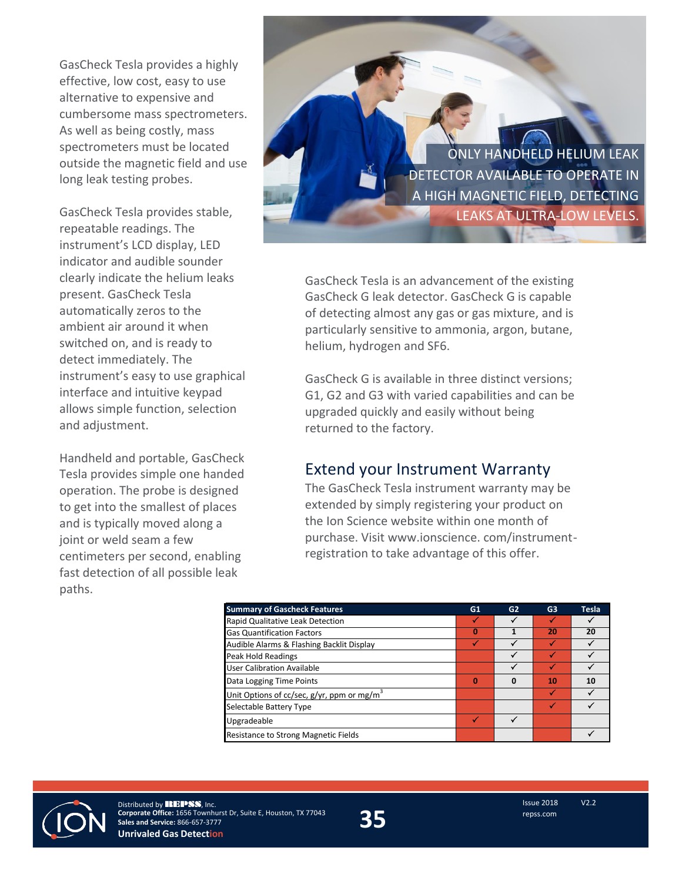GasCheck Tesla provides a highly effective, low cost, easy to use alternative to expensive and cumbersome mass spectrometers. As well as being costly, mass spectrometers must be located outside the magnetic field and use long leak testing probes.

GasCheck Tesla provides stable, repeatable readings. The instrument's LCD display, LED indicator and audible sounder clearly indicate the helium leaks present. GasCheck Tesla automatically zeros to the ambient air around it when switched on, and is ready to detect immediately. The instrument's easy to use graphical interface and intuitive keypad allows simple function, selection and adjustment.

Handheld and portable, GasCheck Tesla provides simple one handed operation. The probe is designed to get into the smallest of places and is typically moved along a joint or weld seam a few centimeters per second, enabling fast detection of all possible leak paths.

ONLY HANDHELD HELIUM LEAK DETECTOR AVAILABLE TO OPERATE IN A HIGH MAGNETIC FIELD, DETECTING LEAKS AT ULTRA-LOW LEVELS.

GasCheck Tesla is an advancement of the existing GasCheck G leak detector. GasCheck G is capable of detecting almost any gas or gas mixture, and is particularly sensitive to ammonia, argon, butane, helium, hydrogen and SF6.

GasCheck G is available in three distinct versions; G1, G2 and G3 with varied capabilities and can be upgraded quickly and easily without being returned to the factory.

## Extend your Instrument Warranty

The GasCheck Tesla instrument warranty may be extended by simply registering your product on the Ion Science website within one month of purchase. Visit www.ionscience. com/instrumentregistration to take advantage of this offer.

| <b>Summary of Gascheck Features</b>                             | G1 | G2 | G <sub>3</sub> | <b>Tesla</b> |
|-----------------------------------------------------------------|----|----|----------------|--------------|
| Rapid Qualitative Leak Detection                                |    |    |                |              |
| <b>Gas Quantification Factors</b>                               | 0  |    | 20             | 20           |
| Audible Alarms & Flashing Backlit Display                       |    |    |                |              |
| Peak Hold Readings                                              |    |    |                |              |
| <b>User Calibration Available</b>                               |    |    |                |              |
| Data Logging Time Points                                        | 0  | Ω  | 10             | 10           |
| Unit Options of cc/sec, $g/\gamma r$ , ppm or mg/m <sup>3</sup> |    |    |                |              |
| Selectable Battery Type                                         |    |    |                |              |
| Upgradeable                                                     |    |    |                |              |
| Resistance to Strong Magnetic Fields                            |    |    |                |              |



Distributed by **REPSS**, Inc. **Corporate Office:** 1656 Townhurst Dr, Suite E, Houston, TX 77043 **Sales and Service:** 866-657-3777 **Unrivaled Gas Detection**

**35**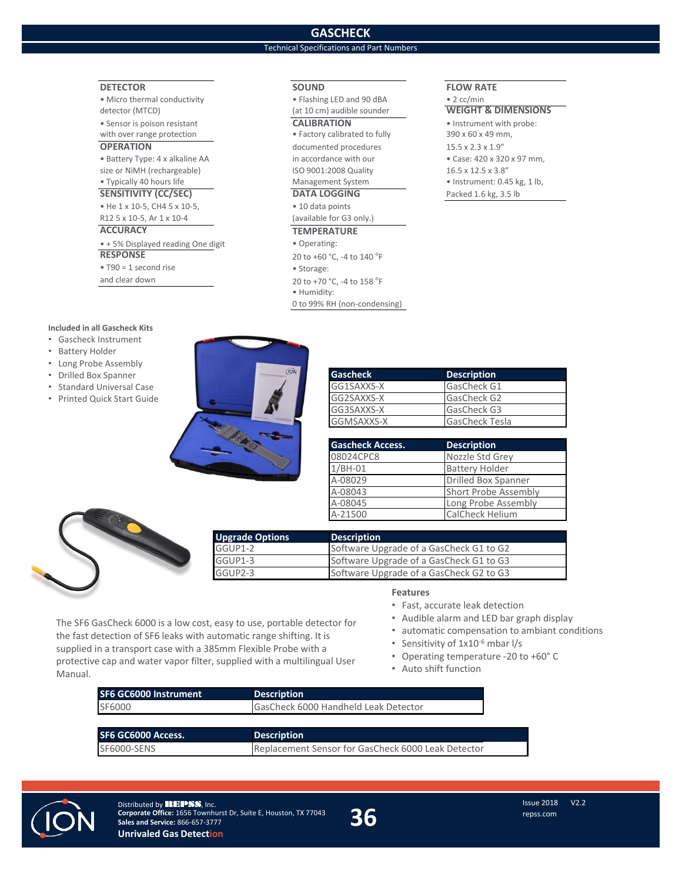## **GASCHECK**

### Technical Specifications and Part Numbers

• Humidity:

0 to 99% RH (non-condensing)

#### **DETECTOR SOUND FLOW RATE**

• Micro thermal conductivity **• Flashing LED and 90 dBA** • 2 cc/min<br>detector (MTCD) detector (MTCD) detector (MTCD) detector (MTCD) **(at 10 cm)** audible sounder

with over range protection **•** Factory calibrated to fully 390 x 60 x 49 mm,

size or NiMH (rechargeable) ISO 9001:2008 Quality 16.5 x 12.5 x 3.8"<br>16.5 x 12.5 x 3.8" Instrument: 0.4 Management System • Instrument: 0.4 • Instrument: 0.4

**SENSITIVITY (CC/SEC) DATA LOGGING Packed 1.6 kg, 3.5 lb** • He 1 x 10-5, CH4 5 x 10-5, extending the 10 data points R12 5 x 10-5, Ar 1 x 10-4 (available for G3 only.)

#### **ACCURACY TEMPERATURE**

• + 5% Displayed reading One digit • Operating: **RESPONSE** 20 to +60 °C, -4 to 140 °F

#### • T90 = 1 second rise • Storage:

and clear down  $\frac{20 \text{ to } +70 \text{ °C}}{20 \text{ to } +70 \text{ °C}}$ , -4 to 158  $\text{°F}$ 

#### **Included in all Gascheck Kits**

- Gascheck Instrument
- Battery Holder
- Long Probe Assembly
- Drilled Box Spanner
- Standard Universal Case
- Printed Quick Start Guide



| <b>Gascheck</b> | <b>Description</b>    |
|-----------------|-----------------------|
| GG1SAXXS-X      | GasCheck G1           |
| GG2SAXXS-X      | GasCheck G2           |
| GG3SAXXS-X      | GasCheck G3           |
| GGMSAXXS-X      | <b>GasCheck Tesla</b> |

| <b>Gascheck Access.</b> | <b>Description</b>          |
|-------------------------|-----------------------------|
| 08024CPC8               | Nozzle Std Grey             |
| $1/BH-01$               | <b>Battery Holder</b>       |
| A-08029                 | <b>Drilled Box Spanner</b>  |
| A-08043                 | <b>Short Probe Assembly</b> |
| A-08045                 | Long Probe Assembly         |
| A-21500                 | <b>CalCheck Helium</b>      |



| <b>Upgrade Options</b> | <b>Description</b>                      |
|------------------------|-----------------------------------------|
| GGUP1-2                | Software Upgrade of a GasCheck G1 to G2 |
| GGUP1-3                | Software Upgrade of a GasCheck G1 to G3 |
| GGUP2-3                | Software Upgrade of a GasCheck G2 to G3 |

#### **Features**

- Fast, accurate leak detection
- Audible alarm and LED bar graph display
- automatic compensation to ambiant conditions
- Sensitivity of 1x10-6 mbar l/s
- Operating temperature -20 to +60° C
- Auto shift function

| The SF6 GasCheck 6000 is a low cost, easy to use, portable detector for  |  |  |  |
|--------------------------------------------------------------------------|--|--|--|
| the fast detection of SF6 leaks with automatic range shifting. It is     |  |  |  |
| supplied in a transport case with a 385mm Flexible Probe with a          |  |  |  |
| protective cap and water vapor filter, supplied with a multilingual User |  |  |  |
| Manual.                                                                  |  |  |  |
|                                                                          |  |  |  |

| SF6 GC6000 Instrument | <b>Description</b>                                 |
|-----------------------|----------------------------------------------------|
| SF6000                | GasCheck 6000 Handheld Leak Detector               |
|                       |                                                    |
| SF6 GC6000 Access.    | <b>Description</b>                                 |
| SF6000-SENS           | Replacement Sensor for GasCheck 6000 Leak Detector |



Distributed by REPSS, Inc. **Corporate Office:** 1656 Townhurst Dr, Suite E, Houston, TX 77043 **Sales and Service:** 866-657-3777 **Unrivaled Gas Detection**

**36**

• Sensor is poison resistant **CALIBRATION** • Instrument with probe: **OPERATION** documented procedures 15.5 x 2.3 x 1.9" • Battery Type: 4 x alkaline AA in accordance with our • Case: 420 x 320 x 97 mm, • Instrument: 0.45 kg, 1 lb,